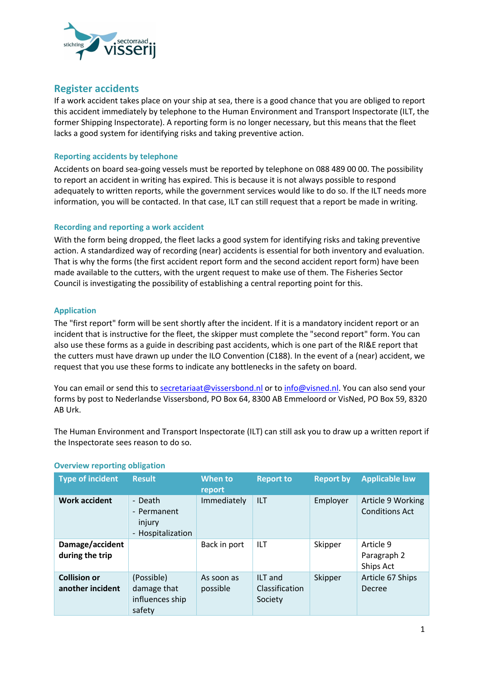

# **Register accidents**

If a work accident takes place on your ship at sea, there is a good chance that you are obliged to report this accident immediately by telephone to the Human Environment and Transport Inspectorate (ILT, the former Shipping Inspectorate). A reporting form is no longer necessary, but this means that the fleet lacks a good system for identifying risks and taking preventive action.

## **Reporting accidents by telephone**

Accidents on board sea-going vessels must be reported by telephone on 088 489 00 00. The possibility to report an accident in writing has expired. This is because it is not always possible to respond adequately to written reports, while the government services would like to do so. If the ILT needs more information, you will be contacted. In that case, ILT can still request that a report be made in writing.

## **Recording and reporting a work accident**

With the form being dropped, the fleet lacks a good system for identifying risks and taking preventive action. A standardized way of recording (near) accidents is essential for both inventory and evaluation. That is why the forms (the first accident report form and the second accident report form) have been made available to the cutters, with the urgent request to make use of them. The Fisheries Sector Council is investigating the possibility of establishing a central reporting point for this.

### **Application**

The "first report" form will be sent shortly after the incident. If it is a mandatory incident report or an incident that is instructive for the fleet, the skipper must complete the "second report" form. You can also use these forms as a guide in describing past accidents, which is one part of the RI&E report that the cutters must have drawn up under the ILO Convention (C188). In the event of a (near) accident, we request that you use these forms to indicate any bottlenecks in the safety on board.

You can email or send this to secretariaat@vissersbond.nl or to info@visned.nl. You can also send your forms by post to Nederlandse Vissersbond, PO Box 64, 8300 AB Emmeloord or VisNed, PO Box 59, 8320 AB Urk.

The Human Environment and Transport Inspectorate (ILT) can still ask you to draw up a written report if the Inspectorate sees reason to do so.

| <b>Type of incident</b>                 | <b>Result</b>                                          | When to<br>report      | <b>Report to</b>                     | <b>Report by</b> | <b>Applicable law</b>                      |
|-----------------------------------------|--------------------------------------------------------|------------------------|--------------------------------------|------------------|--------------------------------------------|
| <b>Work accident</b>                    | - Death<br>- Permanent<br>injury<br>- Hospitalization  | Immediately            | ILT                                  | Employer         | Article 9 Working<br><b>Conditions Act</b> |
| Damage/accident<br>during the trip      |                                                        | Back in port           | <b>ILT</b>                           | Skipper          | Article 9<br>Paragraph 2<br>Ships Act      |
| <b>Collision or</b><br>another incident | (Possible)<br>damage that<br>influences ship<br>safety | As soon as<br>possible | ILT and<br>Classification<br>Society | Skipper          | Article 67 Ships<br>Decree                 |

### **Overview reporting obligation**